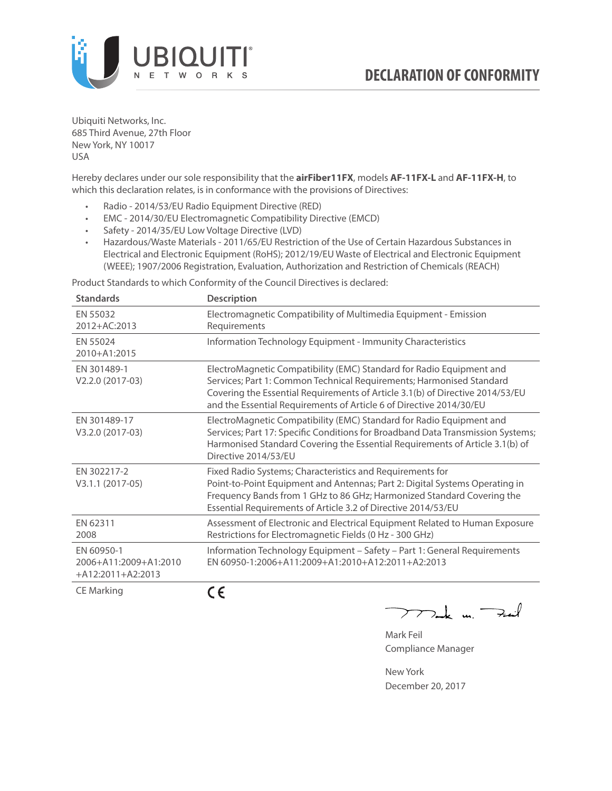

Ubiquiti Networks, Inc. 685 Third Avenue, 27th Floor New York, NY 10017 USA

Hereby declares under our sole responsibility that the **airFiber11FX**, models **AF-11FX-L** and **AF-11FX-H**, to which this declaration relates, is in conformance with the provisions of Directives:

- Radio 2014/53/EU Radio Equipment Directive (RED)
- EMC 2014/30/EU Electromagnetic Compatibility Directive (EMCD)
- Safety 2014/35/EU Low Voltage Directive (LVD)
- Hazardous/Waste Materials 2011/65/EU Restriction of the Use of Certain Hazardous Substances in Electrical and Electronic Equipment (RoHS); 2012/19/EU Waste of Electrical and Electronic Equipment (WEEE); 1907/2006 Registration, Evaluation, Authorization and Restriction of Chemicals (REACH)

Product Standards to which Conformity of the Council Directives is declared:

| <b>Standards</b>                                           | <b>Description</b>                                                                                                                                                                                                                                                                                   |
|------------------------------------------------------------|------------------------------------------------------------------------------------------------------------------------------------------------------------------------------------------------------------------------------------------------------------------------------------------------------|
| EN 55032<br>2012+AC:2013                                   | Electromagnetic Compatibility of Multimedia Equipment - Emission<br>Requirements                                                                                                                                                                                                                     |
| EN 55024<br>2010+A1:2015                                   | Information Technology Equipment - Immunity Characteristics                                                                                                                                                                                                                                          |
| EN 301489-1<br>V2.2.0 (2017-03)                            | ElectroMagnetic Compatibility (EMC) Standard for Radio Equipment and<br>Services; Part 1: Common Technical Requirements; Harmonised Standard<br>Covering the Essential Requirements of Article 3.1(b) of Directive 2014/53/EU<br>and the Essential Requirements of Article 6 of Directive 2014/30/EU |
| EN 301489-17<br>V3.2.0 (2017-03)                           | ElectroMagnetic Compatibility (EMC) Standard for Radio Equipment and<br>Services; Part 17: Specific Conditions for Broadband Data Transmission Systems;<br>Harmonised Standard Covering the Essential Requirements of Article 3.1(b) of<br>Directive 2014/53/EU                                      |
| EN 302217-2<br>V3.1.1 (2017-05)                            | Fixed Radio Systems; Characteristics and Requirements for<br>Point-to-Point Equipment and Antennas; Part 2: Digital Systems Operating in<br>Frequency Bands from 1 GHz to 86 GHz; Harmonized Standard Covering the<br>Essential Requirements of Article 3.2 of Directive 2014/53/EU                  |
| EN 62311<br>2008                                           | Assessment of Electronic and Electrical Equipment Related to Human Exposure<br>Restrictions for Electromagnetic Fields (0 Hz - 300 GHz)                                                                                                                                                              |
| EN 60950-1<br>2006+A11:2009+A1:2010<br>$+A12:2011+A2:2013$ | Information Technology Equipment - Safety - Part 1: General Requirements<br>EN 60950-1:2006+A11:2009+A1:2010+A12:2011+A2:2013                                                                                                                                                                        |
| $CF$ Marking                                               | $\epsilon$                                                                                                                                                                                                                                                                                           |

CE Marking

**CE** 

 $2$ t u $\rightarrow$ 

Mark Feil Compliance Manager

New York December 20, 2017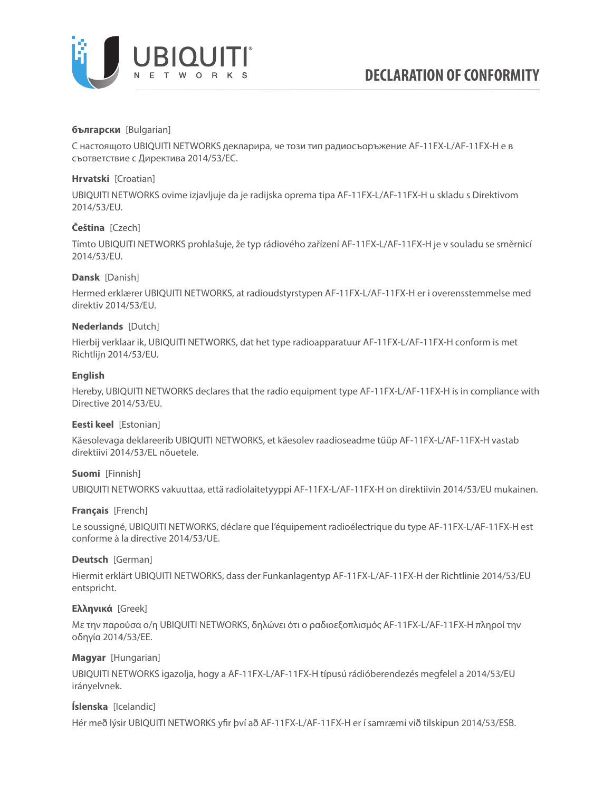

## **български** [Bulgarian]

С настоящото UBIQUITI NETWORKS декларира, че този тип радиосъоръжение AF-11FX-L/AF-11FX-H е в съответствие с Директива 2014/53/ЕС.

## **Hrvatski** [Croatian]

UBIQUITI NETWORKS ovime izjavljuje da je radijska oprema tipa AF-11FX-L/AF-11FX-H u skladu s Direktivom 2014/53/EU.

# **Čeština** [Czech]

Tímto UBIQUITI NETWORKS prohlašuje, že typ rádiového zařízení AF-11FX-L/AF-11FX-H je v souladu se směrnicí 2014/53/EU.

## **Dansk** [Danish]

Hermed erklærer UBIQUITI NETWORKS, at radioudstyrstypen AF-11FX-L/AF-11FX-H er i overensstemmelse med direktiv 2014/53/EU.

## **Nederlands** [Dutch]

Hierbij verklaar ik, UBIQUITI NETWORKS, dat het type radioapparatuur AF-11FX-L/AF-11FX-H conform is met Richtlijn 2014/53/EU.

# **English**

Hereby, UBIQUITI NETWORKS declares that the radio equipment type AF-11FX-L/AF-11FX-H is in compliance with Directive 2014/53/EU.

## **Eesti keel** [Estonian]

Käesolevaga deklareerib UBIQUITI NETWORKS, et käesolev raadioseadme tüüp AF-11FX-L/AF-11FX-H vastab direktiivi 2014/53/EL nõuetele.

## **Suomi** [Finnish]

UBIQUITI NETWORKS vakuuttaa, että radiolaitetyyppi AF-11FX-L/AF-11FX-H on direktiivin 2014/53/EU mukainen.

## **Français** [French]

Le soussigné, UBIQUITI NETWORKS, déclare que l'équipement radioélectrique du type AF-11FX-L/AF-11FX-H est conforme à la directive 2014/53/UE.

## **Deutsch** [German]

Hiermit erklärt UBIQUITI NETWORKS, dass der Funkanlagentyp AF-11FX-L/AF-11FX-H der Richtlinie 2014/53/EU entspricht.

## **Ελληνικά** [Greek]

Με την παρούσα ο/η UBIQUITI NETWORKS, δηλώνει ότι ο ραδιοεξοπλισμός AF-11FX-L/AF-11FX-H πληροί την οδηγία 2014/53/ΕΕ.

## **Magyar** [Hungarian]

UBIQUITI NETWORKS igazolja, hogy a AF-11FX-L/AF-11FX-H típusú rádióberendezés megfelel a 2014/53/EU irányelvnek.

## **Íslenska** [Icelandic]

Hér með lýsir UBIQUITI NETWORKS yfir því að AF-11FX-L/AF-11FX-H er í samræmi við tilskipun 2014/53/ESB.